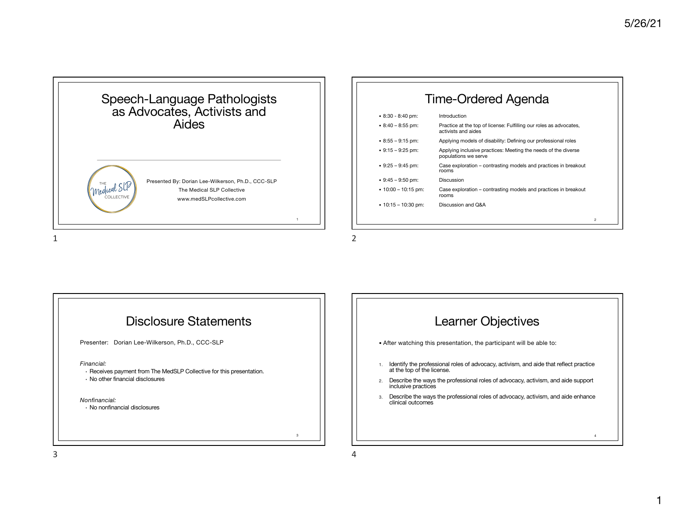

## Time-Ordered Agenda

| $\cdot$ 8:30 - 8:40 pm:   | Introduction                                                                              |                |
|---------------------------|-------------------------------------------------------------------------------------------|----------------|
| $\cdot$ 8:40 - 8:55 pm:   | Practice at the top of license: Fulfilling our roles as advocates,<br>activists and aides |                |
| $\cdot$ 8:55 – 9:15 pm:   | Applying models of disability: Defining our professional roles                            |                |
| $\cdot$ 9:15 – 9:25 pm:   | Applying inclusive practices: Meeting the needs of the diverse<br>populations we serve    |                |
| $\cdot$ 9:25 – 9:45 pm:   | Case exploration – contrasting models and practices in breakout<br>rooms                  |                |
| $\cdot$ 9:45 - 9:50 pm:   | Discussion                                                                                |                |
| $\cdot$ 10:00 – 10:15 pm: | Case exploration – contrasting models and practices in breakout<br>rooms                  |                |
| $\cdot$ 10:15 - 10:30 pm: | Discussion and Q&A                                                                        |                |
|                           |                                                                                           |                |
|                           |                                                                                           | $\overline{2}$ |
|                           |                                                                                           |                |



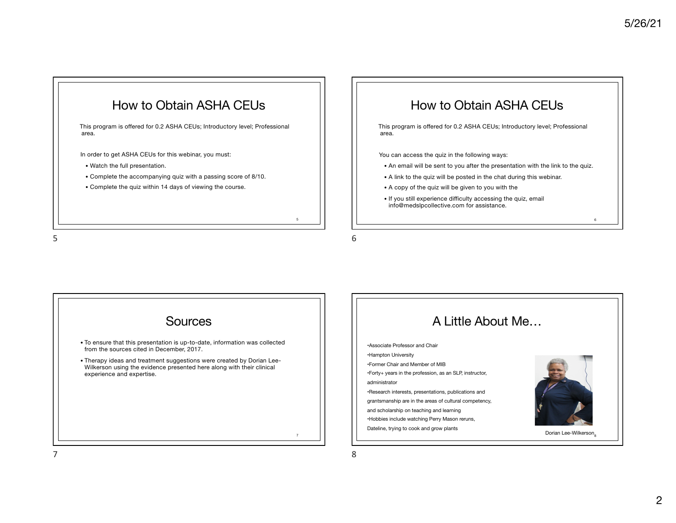

5



**Sources** • To ensure that this presentation is up-to-date, information was collected from the sources cited in December, 2017. • Therapy ideas and treatment suggestions were created by Dorian Lee-Wilkerson using the evidence presented here along with their clinical experience and expertise. •Hampton University administrator

5

7

6

8

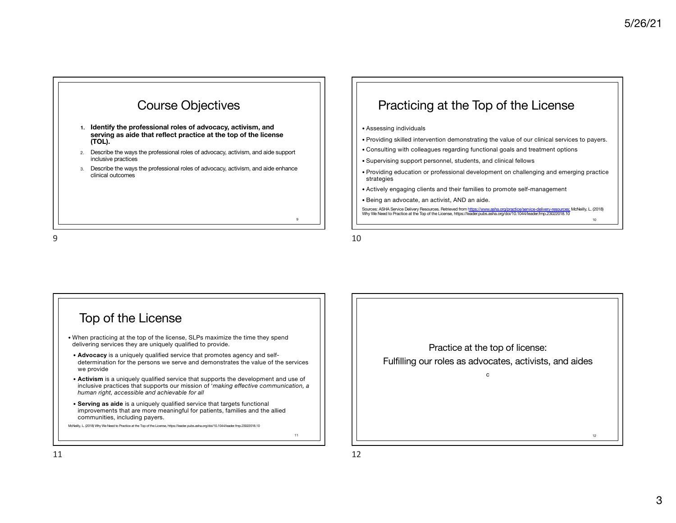

- **1. Identify the professional roles of advocacy, activism, and serving as aide that reflect practice at the top of the license (TOL).**
- 2. Describe the ways the professional roles of advocacy, activism, and aide support inclusive practices
- 3. Describe the ways the professional roles of advocacy, activism, and aide enhance clinical outcomes

### Practicing at the Top of the License

- Assessing individuals
- Providing skilled intervention demonstrating the value of our clinical services to payers.
- Consulting with colleagues regarding functional goals and treatment options
- Supervising support personnel, students, and clinical fellows
- Providing education or professional development on challenging and emerging practice strategies
- Actively engaging clients and their families to promote self-management
- Being an advocate, an activist, AND an aide.

Sources: ASHA Service Delivery Resources. Retrieved from https://www.asha.org/practice/service-delivery-resources: McNeilly, L. (2018)<br>Why We Need to Practice at the Top of the License, https://leader.pubs.asha.org/doi/10. 10

9





12

10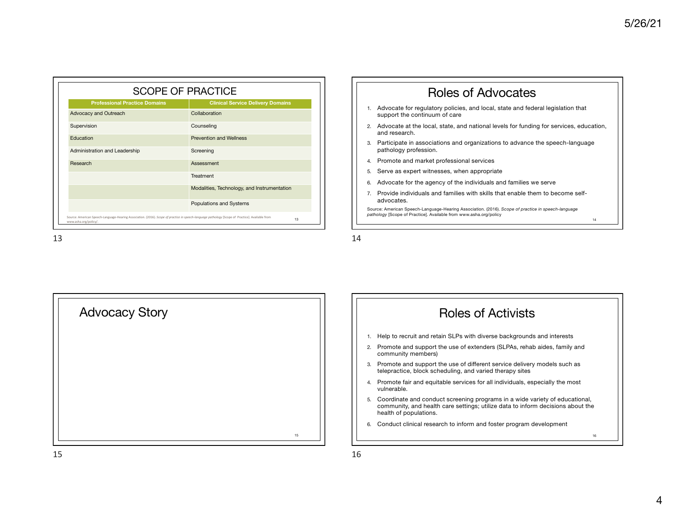| <b>Professional Practice Domains</b> | <b>Clinical Service Delivery Domains</b>    |
|--------------------------------------|---------------------------------------------|
| Advocacy and Outreach                | Collaboration                               |
| Supervision                          | Counseling                                  |
| Education                            | <b>Prevention and Wellness</b>              |
| Administration and Leadership        | Screening                                   |
| Research                             | Assessment                                  |
|                                      | Treatment                                   |
|                                      | Modalities, Technology, and Instrumentation |
|                                      | Populations and Systems                     |



16



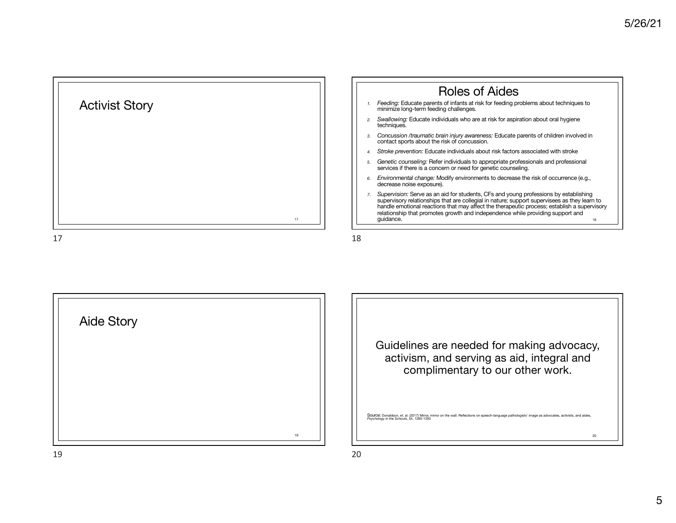





Guidelines are needed for making advocacy, activism, and serving as aid, integral and complimentary to our other work.

Source: Donaldson, et. al. (2017) Mirror, mirror on the wall: Reflections on speech-language pathologists' image as advocates, activists, and aides, *Psychology in the Schools*, 54, 1285-1293

20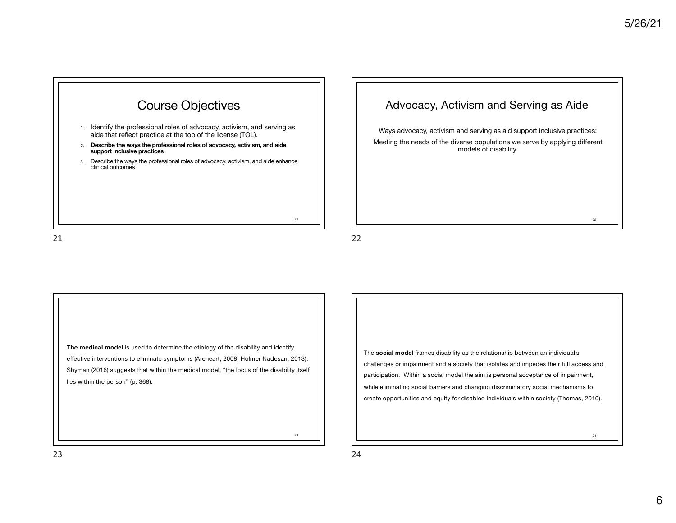

# Advocacy, Activism and Serving as Aide Ways advocacy, activism and serving as aid support inclusive practices: Meeting the needs of the diverse populations we serve by applying different models of disability. 22 22

21

**The medical model** is used to determine the etiology of the disability and identify effective interventions to eliminate symptoms (Areheart, 2008; Holmer Nadesan, 2013). Shyman (2016) suggests that within the medical model, "the locus of the disability itself lies within the person" (p. 368).

The **social model** frames disability as the relationship between an individual's challenges or impairment and a society that isolates and impedes their full access and participation. Within a social model the aim is personal acceptance of impairment, while eliminating social barriers and changing discriminatory social mechanisms to create opportunities and equity for disabled individuals within society (Thomas, 2010).

24

23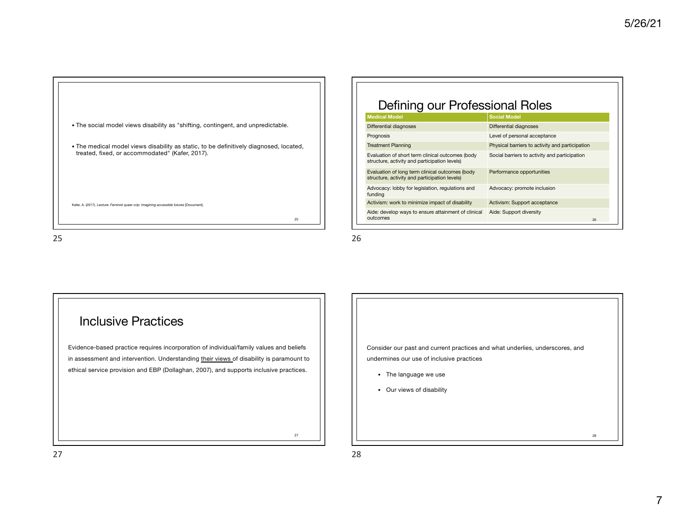

| Defining our Professional Roles                                                                   |                                                 |  |  |  |  |
|---------------------------------------------------------------------------------------------------|-------------------------------------------------|--|--|--|--|
| <b>Medical Model</b>                                                                              | <b>Social Model</b>                             |  |  |  |  |
| Differential diagnoses                                                                            | Differential diagnoses                          |  |  |  |  |
| Prognosis                                                                                         | Level of personal acceptance                    |  |  |  |  |
| <b>Treatment Planning</b>                                                                         | Physical barriers to activity and participation |  |  |  |  |
| Evaluation of short term clinical outcomes (body<br>structure, activity and participation levels) | Social barriers to activity and participation   |  |  |  |  |
| Evaluation of long term clinical outcomes (body<br>structure, activity and participation levels)  | Performance opportunities                       |  |  |  |  |
| Advocacy: lobby for legislation, regulations and<br>funding                                       | Advocacy: promote inclusion                     |  |  |  |  |
| Activism: work to minimize impact of disability                                                   | Activism: Support acceptance                    |  |  |  |  |
| Aide: develop ways to ensure attainment of clinical<br>outcomes                                   | Aide: Support diversity<br>26                   |  |  |  |  |

### Inclusive Practices

Evidence-based practice requires incorporation of individual/family values and beliefs in assessment and intervention. Understanding their views of disability is paramount to ethical service provision and EBP (Dollaghan, 2007), and supports inclusive practices.

| Consider our past and current practices and what underlies, underscores, and |  |
|------------------------------------------------------------------------------|--|
| undermines our use of inclusive practices                                    |  |
| The language we use<br>$\bullet$<br>Our views of disability<br>$\bullet$     |  |
|                                                                              |  |

28

27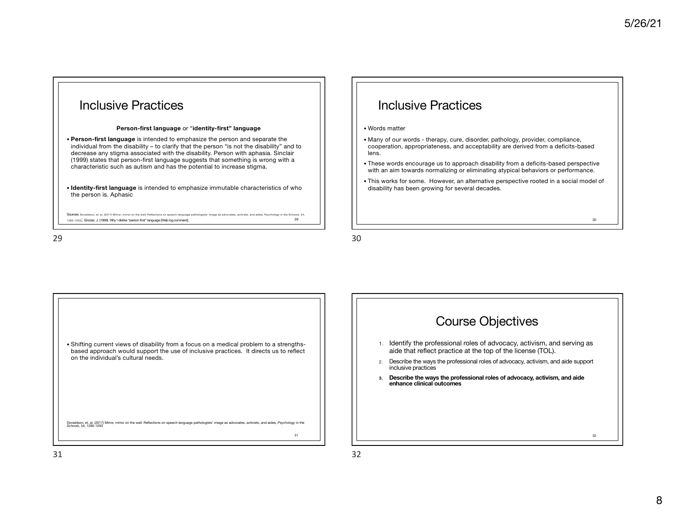



30

31

• Shifting current views of disability from a focus on a medical problem to a strengthsbased approach would support the use of inclusive practices. It directs us to reflect on the individual's cultural needs.

Donaldson, et. al. (2017) Mirror, mirror on the wall: Reflections on speech-language pathologists' image as advocates, activists, and aides, *Psychology in the Schools*, 54, 1285-1293

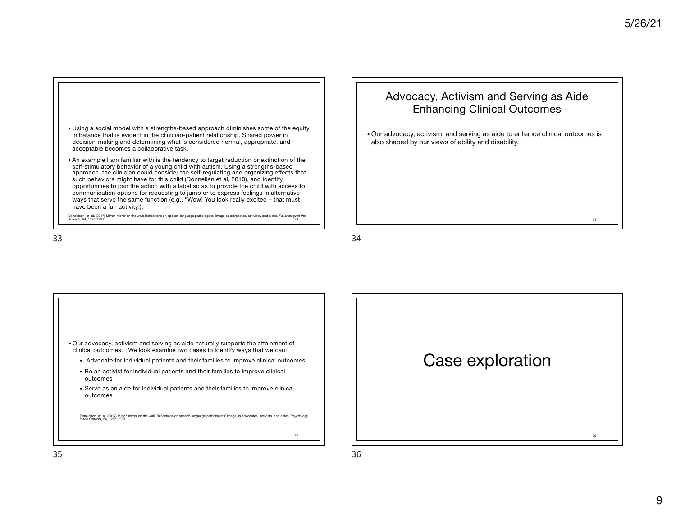

Donaldson, et. al. (2017) Mirror, mirror on the wall: Reflections on speech-language pathologists' image as advocates, activists, and aides, *Psychology in the Schools*, 54, 1285-1293 33

#### Advocacy, Activism and Serving as Aide Enhancing Clinical Outcomes

• Our advocacy, activism, and serving as aide to enhance clinical outcomes is also shaped by our views of ability and disability.

34